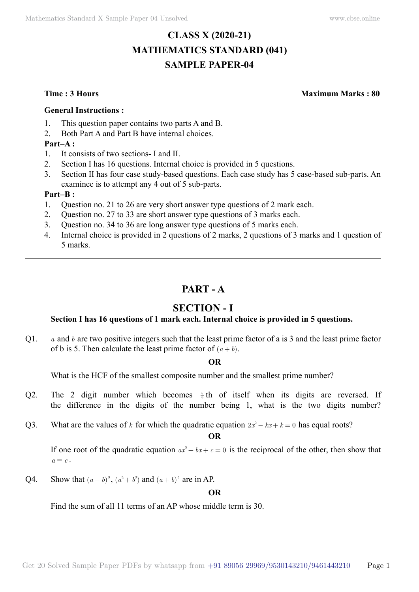# **CLASS X (2020-21) MATHEMATICS STANDARD (041) SAMPLE PAPER-04**

**Time : 3 Hours Maximum Marks : 80**

#### **General Instructions :**

- 1. This question paper contains two parts A and B.
- 2. Both Part A and Part B have internal choices.

#### **Part–A :**

- 1. It consists of two sections- I and II.
- 2. Section I has 16 questions. Internal choice is provided in 5 questions.
- 3. Section II has four case study-based questions. Each case study has 5 case-based sub-parts. An examinee is to attempt any 4 out of 5 sub-parts.

#### **Part–B :**

- 1. Question no. 21 to 26 are very short answer type questions of 2 mark each.
- 2. Question no. 27 to 33 are short answer type questions of 3 marks each.
- 3. Question no. 34 to 36 are long answer type questions of 5 marks each.
- 4. Internal choice is provided in 2 questions of 2 marks, 2 questions of 3 marks and 1 question of 5 marks.

# **Part - A**

# **Section - I**

### **Section I has 16 questions of 1 mark each. Internal choice is provided in 5 questions.**

Q1. *a* and *b* are two positive integers such that the least prime factor of a is 3 and the least prime factor of b is 5. Then calculate the least prime factor of  $(a + b)$ .

#### **O**

What is the HCF of the smallest composite number and the smallest prime number?

- Q2. The 2 digit number which becomes  $\frac{5}{6}$ th of itself when its digits are reversed. If the difference in the digits of the number being 1, what is the two digits number?
- Q3. What are the values of *k* for which the quadratic equation  $2x^2 kx + k = 0$  has equal roots?

 **O**

If one root of the quadratic equation  $ax^2 + bx + c = 0$  is the reciprocal of the other, then show that  $a \equiv c$ 

Q4. Show that  $(a - b)^2$ ,  $(a^2 + b^2)$  and  $(a + b)^2$  are in AP.

 **O**

Find the sum of all 11 terms of an AP whose middle term is 30.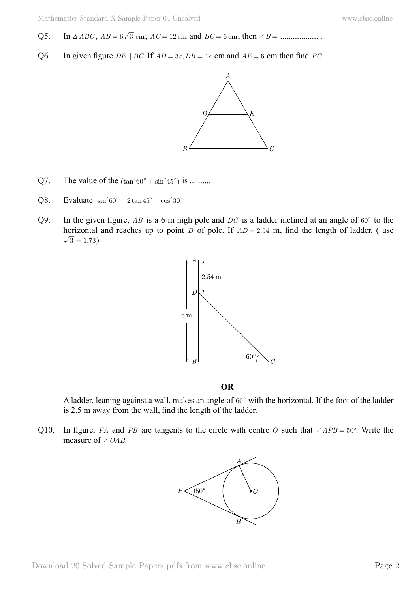- Q5. In T*ABC* , *AB* = 6 3 cm, *AC* = 12 cm and *BC* = 6 cm, then +*B* = .................. .
- Q6. In given figure *DE* || *BC*. If  $AD = 3c$ ,  $DB = 4c$  cm and  $AE = 6$  cm then find *EC*.



- Q7. The value of the  $(\tan^2 60^\circ + \sin^2 45^\circ)$  is ..........
- Q8. Evaluate  $\sin^2 60^\circ 2 \tan 45^\circ \cos^2 30^\circ$
- Q9. In the given figure, *AB* is a 6 m high pole and *DC* is a ladder inclined at an angle of  $60^{\circ}$  to the horizontal and reaches up to point *D* of pole. If  $AD = 2.54$  m, find the length of ladder. (use  $\sqrt{3} = 1.73$ )



 **O**

A ladder, leaning against a wall, makes an angle of  $60^{\circ}$  with the horizontal. If the foot of the ladder is 2.5 m away from the wall, find the length of the ladder.

Q10. In figure, *PA* and *PB* are tangents to the circle with centre *O* such that  $\angle APB = 50^\circ$ . Write the measure of  $\angle$  *OAB*.

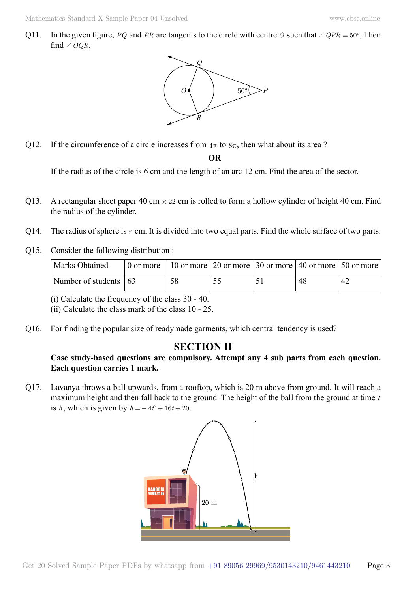Q11. In the given figure, *PQ* and *PR* are tangents to the circle with centre *O* such that  $\angle QPR = 50^\circ$ . Then find  $\angle OQR$ .



Q12. If the circumference of a circle increases from  $4\pi$  to  $8\pi$ , then what about its area ?

 **O**

If the radius of the circle is 6 cm and the length of an arc 12 cm. Find the area of the sector.

- Q13. A rectangular sheet paper 40 cm  $\times$  22 cm is rolled to form a hollow cylinder of height 40 cm. Find the radius of the cylinder.
- Q14. The radius of sphere is *r* cm. It is divided into two equal parts. Find the whole surface of two parts.
- Q15. Consider the following distribution :

| Marks Obtained                        | 0 or more   10 or more   20 or more   30 or more   40 or more   50 or more |  |    |          |
|---------------------------------------|----------------------------------------------------------------------------|--|----|----------|
| Number of students $\vert 63 \rangle$ | 58                                                                         |  | 48 | $4'_{-}$ |

(i) Calculate the frequency of the class 30 - 40.

(ii) Calculate the class mark of the class 10 - 25.

Q16. For finding the popular size of readymade garments, which central tendency is used?

# **Section II**

### **Case study-based questions are compulsory. Attempt any 4 sub parts from each question. Each question carries 1 mark.**

Q17. Lavanya throws a ball upwards, from a rooftop, which is 20 m above from ground. It will reach a maximum height and then fall back to the ground. The height of the ball from the ground at time *t* is *h*, which is given by  $h = -4t^2 + 16t + 20$ .

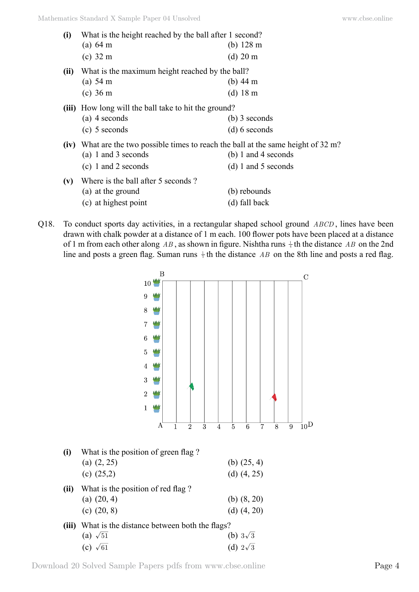| (i)  | What is the height reached by the ball after 1 second?                                    |                       |  |  |  |  |  |
|------|-------------------------------------------------------------------------------------------|-----------------------|--|--|--|--|--|
|      | (a) 64 m                                                                                  | (b) $128 \text{ m}$   |  |  |  |  |  |
|      | $(c)$ 32 m                                                                                | $(d)$ 20 m            |  |  |  |  |  |
| (ii) | What is the maximum height reached by the ball?                                           |                       |  |  |  |  |  |
|      | (a) 54 m                                                                                  | (b) $44 \text{ m}$    |  |  |  |  |  |
|      | $(c)$ 36 m                                                                                | $(d)$ 18 m            |  |  |  |  |  |
|      | (iii) How long will the ball take to hit the ground?                                      |                       |  |  |  |  |  |
|      | $(a)$ 4 seconds                                                                           | $(b)$ 3 seconds       |  |  |  |  |  |
|      | $(c)$ 5 seconds                                                                           | $(d) 6$ seconds       |  |  |  |  |  |
|      | <b>(iv)</b> What are the two possible times to reach the ball at the same height of 32 m? |                       |  |  |  |  |  |
|      | (a) 1 and 3 seconds                                                                       | (b) 1 and 4 seconds   |  |  |  |  |  |
|      | (c) 1 and 2 seconds                                                                       | $(d) 1$ and 5 seconds |  |  |  |  |  |
| (v)  | Where is the ball after 5 seconds?                                                        |                       |  |  |  |  |  |
|      | (a) at the ground                                                                         | (b) rebounds          |  |  |  |  |  |
|      | (c) at highest point                                                                      | (d) fall back         |  |  |  |  |  |
|      |                                                                                           |                       |  |  |  |  |  |

Q18. To conduct sports day activities, in a rectangular shaped school ground *ABCD* , lines have been drawn with chalk powder at a distance of 1 m each. 100 flower pots have been placed at a distance of 1 m from each other along AB, as shown in figure. Nishtha runs  $\frac{1}{4}$  th the distance AB on the 2nd line and posts a green flag. Suman runs  $\frac{1}{5}$  th the distance *AB* on the 8th line and posts a red flag.



Download 20 Solved Sample Papers pdfs from [www.cbse.online](http://www.cbse.online) Page 4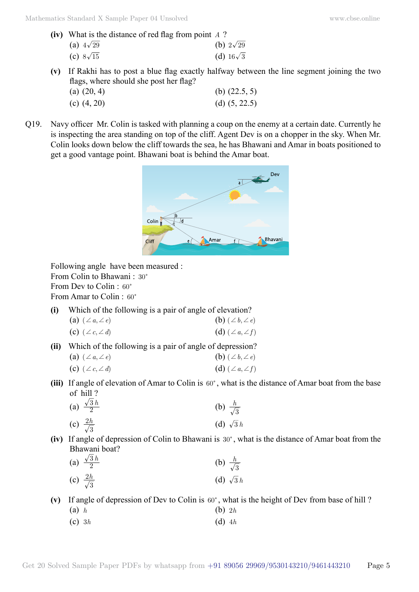- **(iv)** What is the distance of red flag from point *A* ? (a)  $4\sqrt{29}$  (b)  $2\sqrt{29}$ (c)  $8\sqrt{15}$  (d)  $16\sqrt{3}$
- **(v)** If Rakhi has to post a blue flag exactly halfway between the line segment joining the two flags, where should she post her flag?

| (a) $(20, 4)$ | (b) $(22.5, 5)$ |
|---------------|-----------------|
| (c) $(4, 20)$ | (d) $(5, 22.5)$ |

Q19. Navy officer Mr. Colin is tasked with planning a coup on the enemy at a certain date. Currently he is inspecting the area standing on top of the cliff. Agent Dev is on a chopper in the sky. When Mr. Colin looks down below the cliff towards the sea, he has Bhawani and Amar in boats positioned to get a good vantage point. Bhawani boat is behind the Amar boat.



Following angle have been measured :

From Colin to Bhawani: 30°

From Dev to Colin  $\cdot$  60 $\degree$ 

From Amar to Colin :  $60^\circ$ 

**(i)** Which of the following is a pair of angle of elevation?

$$
\begin{array}{ll}\n\textbf{(a)} & (\angle a, \angle e) \\
\textbf{(b)} & (\angle b, \angle e) \\
\textbf{(c)} & \textbf{(d)}\n\end{array}
$$

(c) 
$$
(\angle c, \angle d)
$$
 (d)  $(\angle a, \angle f)$ 

**(ii)** Which of the following is a pair of angle of depression?

| (a) $(\angle a, \angle e)$ | (b) $(\angle b, \angle e)$ |
|----------------------------|----------------------------|
| (c) $(\angle c, \angle d)$ | (d) $(\angle a, \angle f)$ |

(iii) If angle of elevation of Amar to Colin is 60°, what is the distance of Amar boat from the base of hill ?

| (a) $\frac{\sqrt{3}h}{2}$ | (b) $\frac{h}{\sqrt{3}}$ |
|---------------------------|--------------------------|
| (c) $\frac{2h}{\sqrt{3}}$ | (d) $\sqrt{3}h$          |

**(iv)** If angle of depression of Colin to Bhawani is 30°, what is the distance of Amar boat from the Bhawani boat?

| (a) $\frac{\sqrt{3}h}{2}$ | (b) $\frac{h}{\sqrt{3}}$ |
|---------------------------|--------------------------|
| (c) $\frac{2h}{\sqrt{3}}$ | (d) $\sqrt{3}h$          |

### (v) If angle of depression of Dev to Colin is  $60^\circ$ , what is the height of Dev from base of hill ?

- (a) *h* (b) 2*h*
- (c)  $3h$  (d)  $4h$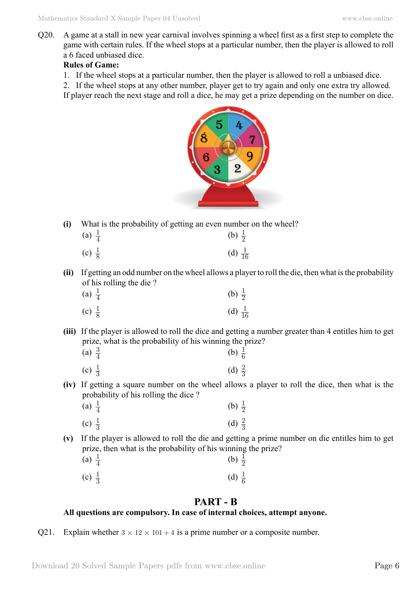Q20. A game at a stall in new year carnival involves spinning a wheel first as a first step to complete the game with certain rules. If the wheel stops at a particular number, then the player is allowed to roll a 6 faced unbiased dice.

#### **Rules of Game:**

1. If the wheel stops at a particular number, then the player is allowed to roll a unbiased dice.

2. If the wheel stops at any other number, player get to try again and only one extra try allowed.

If player reach the next stage and roll a dice, he may get a prize depending on the number on dice.



**(i)** What is the probability of getting an even number on the wheel?

| (a) $\frac{1}{4}$ | (b) $\frac{1}{2}$  |
|-------------------|--------------------|
| (c) $\frac{1}{8}$ | (d) $\frac{1}{16}$ |

**(ii)** If getting an odd number on the wheel allows a player to roll the die, then what is the probability of his rolling the die ?

| (a) $\frac{1}{4}$ | (b) $\frac{1}{2}$  |
|-------------------|--------------------|
| (c) $\frac{1}{8}$ | (d) $\frac{1}{16}$ |

**(iii)** If the player is allowed to roll the dice and getting a number greater than 4 entitles him to get prize, what is the probability of his winning the prize?

| (a) $\frac{3}{4}$ | (b) $\frac{1}{6}$ |
|-------------------|-------------------|
| (c) $\frac{1}{3}$ | (d) $\frac{2}{3}$ |

**(iv)** If getting a square number on the wheel allows a player to roll the dice, then what is the probability of his rolling the dice ?

| (a) $\frac{1}{4}$ | (b) $\frac{1}{2}$ |
|-------------------|-------------------|
| (c) $\frac{1}{3}$ | (d) $\frac{2}{3}$ |

**(v)** If the player is allowed to roll the die and getting a prime number on die entitles him to get prize, then what is the probability of his winning the prize?

| (a) $\frac{1}{4}$ |  | (b) $\frac{1}{2}$ |
|-------------------|--|-------------------|
| (c) $\frac{1}{3}$ |  | (d) $\frac{1}{6}$ |

## **Part - B**

### **All questions are compulsory. In case of internal choices, attempt anyone.**

Q21. Explain whether  $3 \times 12 \times 101 + 4$  is a prime number or a composite number.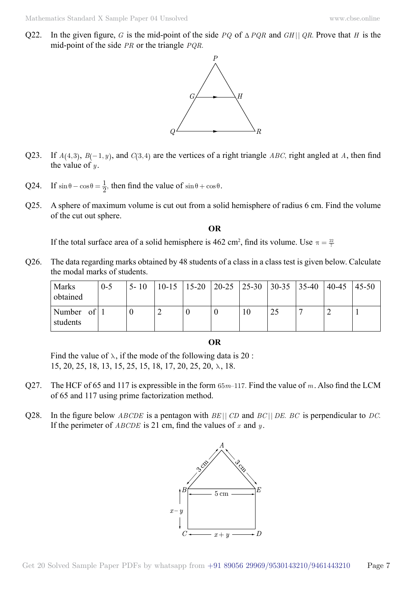Q22. In the given figure, *G* is the mid-point of the side *PQ* of  $\triangle PQR$  and *GH* || *QR*. Prove that *H* is the mid-point of the side *PR* or the triangle *PQR*.



- Q23. If  $A(4,3)$ ,  $B(-1, y)$ , and  $C(3, 4)$  are the vertices of a right triangle *ABC*, right angled at *A*, then find the value of  $y$ .
- Q24. If  $\sin \theta \cos \theta = \frac{1}{2}$ , then find the value of  $\sin \theta + \cos \theta$ .
- Q25. A sphere of maximum volume is cut out from a solid hemisphere of radius 6 cm. Find the volume of the cut out sphere.

 **O**

If the total surface area of a solid hemisphere is 462 cm<sup>2</sup>, find its volume. Use  $\pi = \frac{22}{7}$ 

Q26. The data regarding marks obtained by 48 students of a class in a class test is given below. Calculate the modal marks of students.

| <b>Marks</b><br>obtained        | $0 - 5$ | $5 - 10$ | $10 - 15$ | $ 15-20 $ |  | $\vert 20 - 25 \vert 25 - 30 \vert 30 - 35 \vert 35 - 40 \vert$ | $40-45$ | $45 - 50$ |
|---------------------------------|---------|----------|-----------|-----------|--|-----------------------------------------------------------------|---------|-----------|
| Number<br>$\circ$ f<br>students |         | U        |           |           |  | 25                                                              |         |           |

 **O**

Find the value of  $\lambda$ , if the mode of the following data is 20: 15, 20, 25, 18, 13, 15, 25, 15, 18, 17, 20, 25, 20, λ , 18.

- Q27. The HCF of 65 and 117 is expressible in the form 65*m*–117. Find the value of *m*. Also find the LCM of 65 and 117 using prime factorization method.
- Q28. In the figure below *ABCDE* is a pentagon with *BE* || *CD* and *BC* || *DE*. *BC* is perpendicular to *DC*. If the perimeter of *ABCDE* is 21 cm, find the values of *x* and *y* .

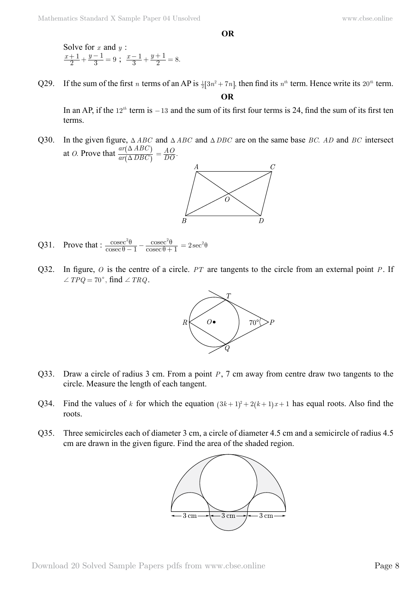Solve for *x* and *y* :  $x+1$  *y* 2 1  $\frac{+1}{2} + \frac{y-1}{3} = 9$ ;  $\frac{x-1}{3} + \frac{y+1}{2} = 8$ . 1  $\frac{-1}{3} + \frac{y+1}{2} = 8$ 

Q29. If the sum of the first *n* terms of an AP is  $\frac{1}{2}[3n^2 + 7n]$ , then find its  $n^{th}$  term. Hence write its 20<sup>th</sup> term.  **O**

In an AP, if the  $12^{th}$  term is  $-13$  and the sum of its first four terms is 24, find the sum of its first ten terms.

Q30. In the given figure,  $\triangle ABC$  and  $\triangle ABC$  and  $\triangle DBC$  are on the same base *BC*. *AD* and *BC* intersect at *O*. Prove that  $\frac{ar(\Delta HBC)}{ar(\Delta DBC)}$  $ar(\Delta ABC)$  $\Delta$  $\Delta$  $\overline{\mathcal{K}}$  $\overline{\mathcal{L}}$  $\frac{\partial}{\partial t} = \frac{AO}{DO}.$ 



- Q31. Prove that :  $\frac{\text{cos}\theta}{\text{cosec}}$ cosec cosec cosec  $1 \csc \theta + 1$  $^{2}$  $\theta$   $^{2}$ θ θ θ  $\frac{e^2\theta}{-1} - \frac{\csc^2\theta}{\csc\theta + 1} = 2\sec^2\theta$
- Q32. In figure, *O* is the centre of a circle. *PT* are tangents to the circle from an external point *P*. If  $\angle TPQ = 70^{\circ}$ , find  $\angle TRQ$ .



- Q33. Draw a circle of radius 3 cm. From a point *P*, 7 cm away from centre draw two tangents to the circle. Measure the length of each tangent.
- Q34. Find the values of *k* for which the equation  $(3k+1)^2 + 2(k+1)x + 1$  has equal roots. Also find the roots.
- Q35. Three semicircles each of diameter 3 cm, a circle of diameter 4.5 cm and a semicircle of radius 4.5 cm are drawn in the given figure. Find the area of the shaded region.